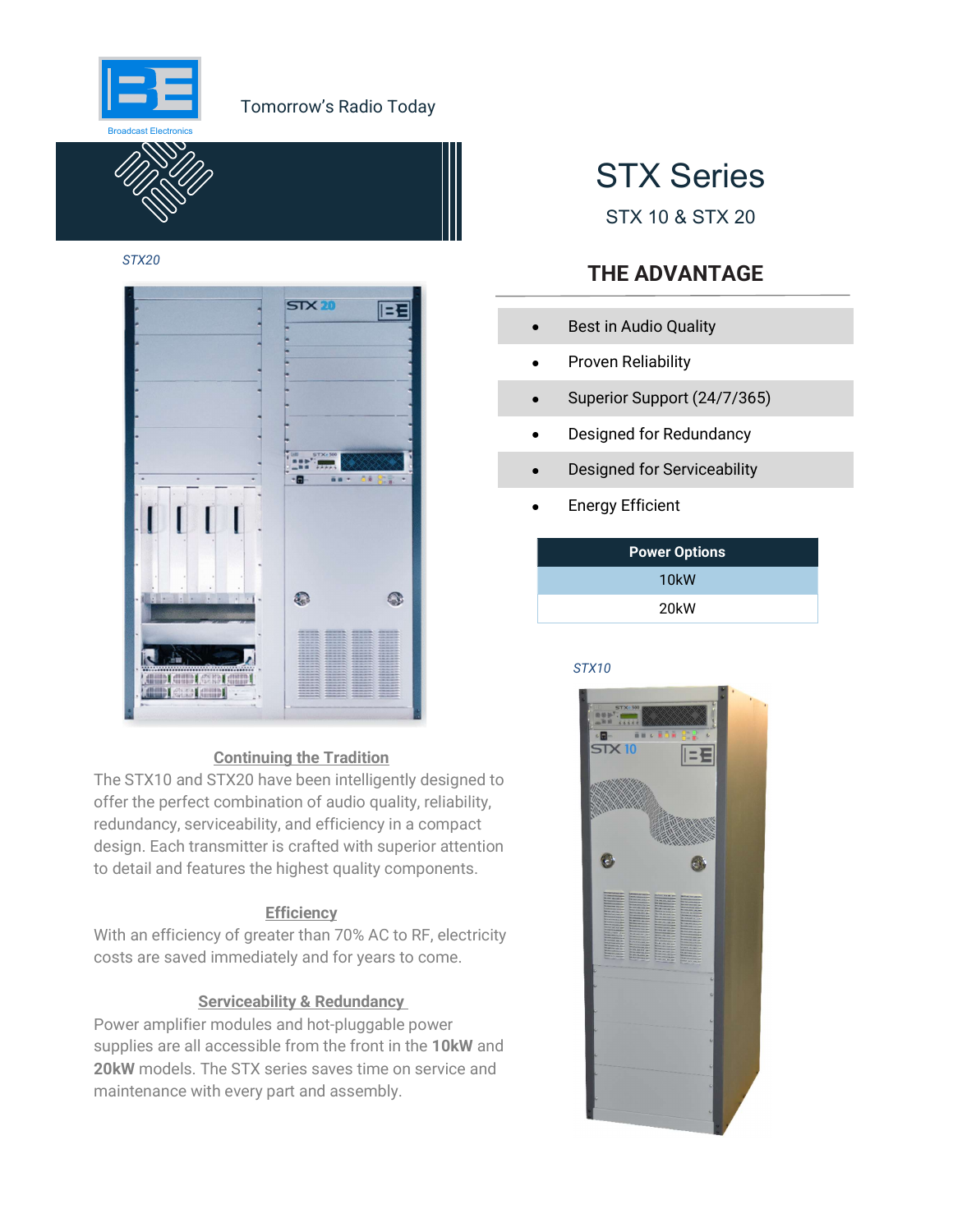

### Tomorrow's Radio Today



STX20



#### Continuing the Tradition

The STX10 and STX20 have been intelligently designed to offer the perfect combination of audio quality, reliability, redundancy, serviceability, and efficiency in a compact design. Each transmitter is crafted with superior attention to detail and features the highest quality components.

#### **Efficiency**

With an efficiency of greater than 70% AC to RF, electricity costs are saved immediately and for years to come.

#### Serviceability & Redundancy

Power amplifier modules and hot-pluggable power supplies are all accessible from the front in the 10kW and 20kW models. The STX series saves time on service and maintenance with every part and assembly.

# STX Series

STX 10 & STX 20

### THE ADVANTAGE

- **•** Best in Audio Quality
- **•** Proven Reliability
- Superior Support (24/7/365)
- Designed for Redundancy
- Designed for Serviceability
- **Energy Efficient**

| <b>Power Options</b> |  |  |
|----------------------|--|--|
| 10 <sub>k</sub> W    |  |  |
| 20kW                 |  |  |

#### STX10

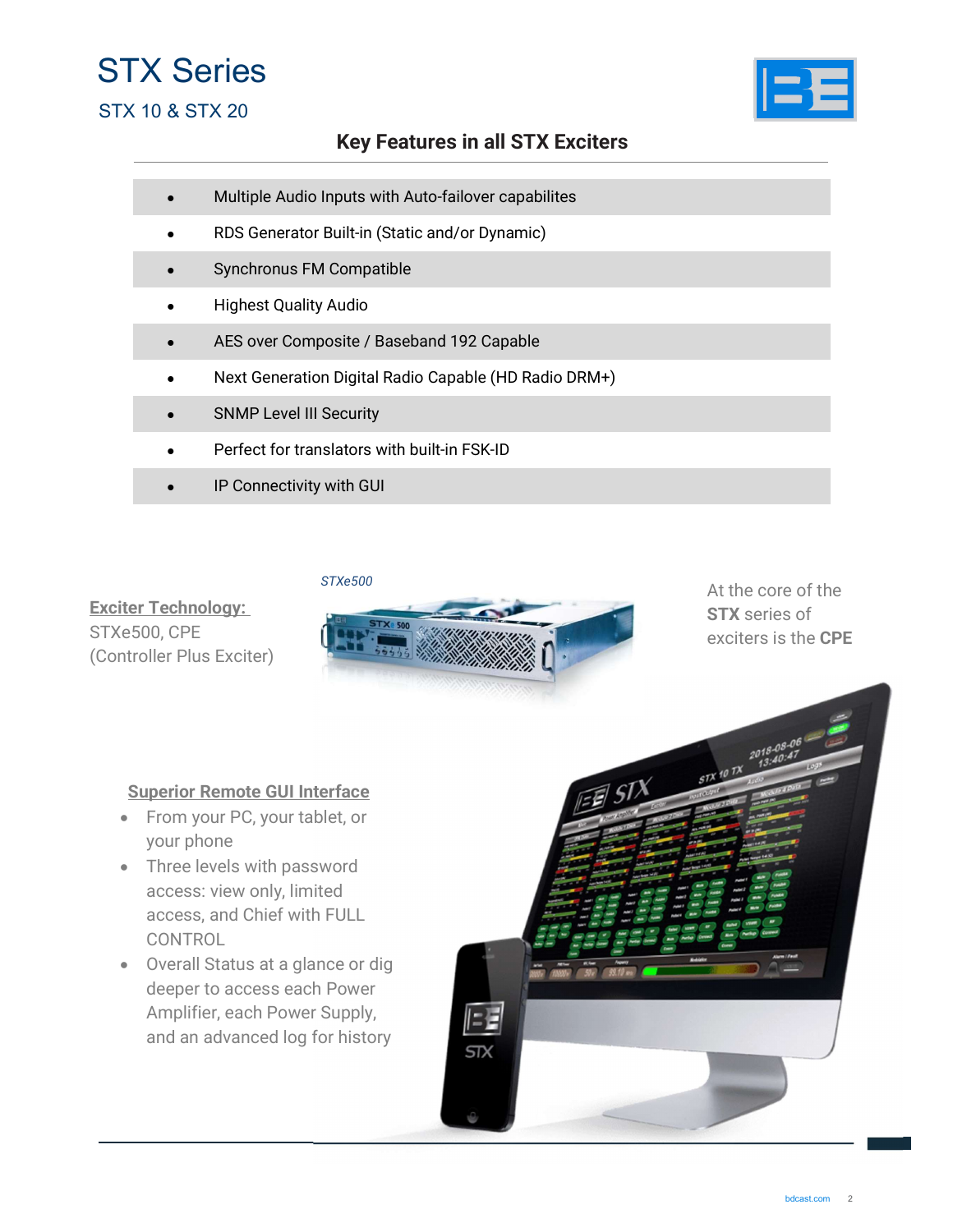### STX Series STX 10 & STX 20

### Key Features in all STX Exciters

- Multiple Audio Inputs with Auto-failover capabilites
- RDS Generator Built-in (Static and/or Dynamic)
- Synchronus FM Compatible
- **•** Highest Quality Audio
- AES over Composite / Baseband 192 Capable
- Next Generation Digital Radio Capable (HD Radio DRM+)
- SNMP Level III Security
- Perfect for translators with built-in FSK-ID
- IP Connectivity with GUI

STXe500

 $\mathsf{E}$ 

**STX** 

At the core of the STX series of exciters is the CPE

STX 10 TX 2018

' ST

#### Superior Remote GUI Interface

Exciter Technology:

(Controller Plus Exciter)

STXe500, CPE

- From your PC, your tablet, or your phone
- Three levels with password access: view only, limited access, and Chief with FULL CONTROL
- Overall Status at a glance or dig deeper to access each Power Amplifier, each Power Supply, and an advanced log for history

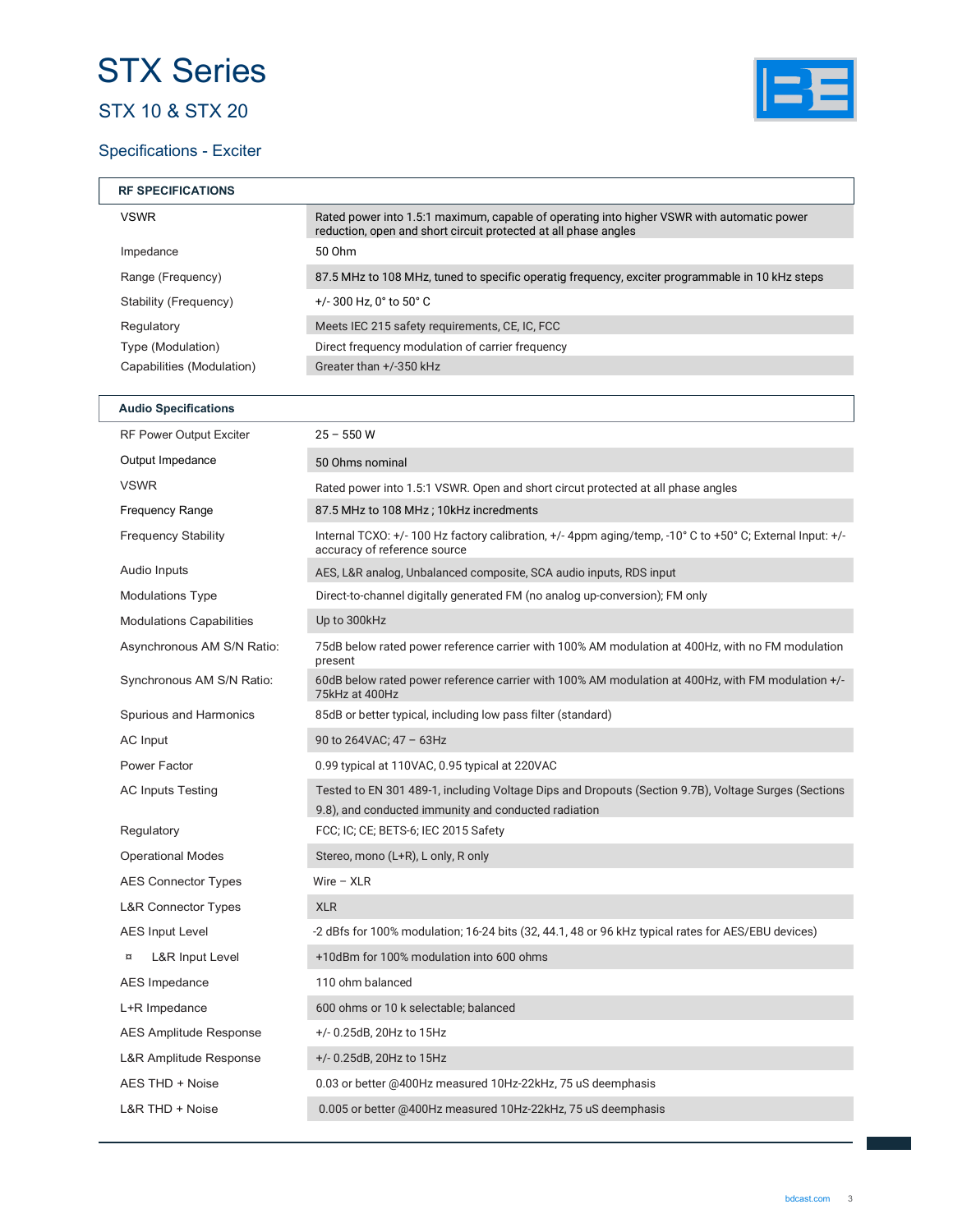# STX Series

### STX 10 & STX 20

### Specifications - Exciter



| <b>RF SPECIFICATIONS</b>  |                                                                                                                                                               |
|---------------------------|---------------------------------------------------------------------------------------------------------------------------------------------------------------|
| <b>VSWR</b>               | Rated power into 1.5:1 maximum, capable of operating into higher VSWR with automatic power<br>reduction, open and short circuit protected at all phase angles |
| Impedance                 | 50 Ohm                                                                                                                                                        |
| Range (Frequency)         | 87.5 MHz to 108 MHz, tuned to specific operatig frequency, exciter programmable in 10 kHz steps                                                               |
| Stability (Frequency)     | $+/-$ 300 Hz, 0 $^{\circ}$ to 50 $^{\circ}$ C                                                                                                                 |
| Regulatory                | Meets IEC 215 safety requirements, CE, IC, FCC                                                                                                                |
| Type (Modulation)         | Direct frequency modulation of carrier frequency                                                                                                              |
| Capabilities (Modulation) | Greater than +/-350 kHz                                                                                                                                       |

| <b>Audio Specifications</b>       |                                                                                                                                                              |  |
|-----------------------------------|--------------------------------------------------------------------------------------------------------------------------------------------------------------|--|
| <b>RF Power Output Exciter</b>    | $25 - 550W$                                                                                                                                                  |  |
| Output Impedance                  | 50 Ohms nominal                                                                                                                                              |  |
| <b>VSWR</b>                       | Rated power into 1.5:1 VSWR. Open and short circut protected at all phase angles                                                                             |  |
| <b>Frequency Range</b>            | 87.5 MHz to 108 MHz; 10kHz incredments                                                                                                                       |  |
| <b>Frequency Stability</b>        | Internal TCXO: +/- 100 Hz factory calibration, +/- 4ppm aging/temp, -10° C to +50° C; External Input: +/-<br>accuracy of reference source                    |  |
| Audio Inputs                      | AES, L&R analog, Unbalanced composite, SCA audio inputs, RDS input                                                                                           |  |
| <b>Modulations Type</b>           | Direct-to-channel digitally generated FM (no analog up-conversion); FM only                                                                                  |  |
| <b>Modulations Capabilities</b>   | Up to 300kHz                                                                                                                                                 |  |
| Asynchronous AM S/N Ratio:        | 75dB below rated power reference carrier with 100% AM modulation at 400Hz, with no FM modulation<br>present                                                  |  |
| Synchronous AM S/N Ratio:         | 60dB below rated power reference carrier with 100% AM modulation at 400Hz, with FM modulation +/-<br>75kHz at 400Hz                                          |  |
| Spurious and Harmonics            | 85dB or better typical, including low pass filter (standard)                                                                                                 |  |
| AC Input                          | 90 to 264VAC; 47 - 63Hz                                                                                                                                      |  |
| Power Factor                      | 0.99 typical at 110VAC, 0.95 typical at 220VAC                                                                                                               |  |
| <b>AC Inputs Testing</b>          | Tested to EN 301 489-1, including Voltage Dips and Dropouts (Section 9.7B), Voltage Surges (Sections<br>9.8), and conducted immunity and conducted radiation |  |
| Regulatory                        | FCC; IC; CE; BETS-6; IEC 2015 Safety                                                                                                                         |  |
| <b>Operational Modes</b>          | Stereo, mono (L+R), L only, R only                                                                                                                           |  |
| <b>AES Connector Types</b>        | $Wire - XLR$                                                                                                                                                 |  |
| <b>L&amp;R Connector Types</b>    | <b>XLR</b>                                                                                                                                                   |  |
| <b>AES Input Level</b>            | -2 dBfs for 100% modulation; 16-24 bits (32, 44.1, 48 or 96 kHz typical rates for AES/EBU devices)                                                           |  |
| L&R Input Level<br>¤              | +10dBm for 100% modulation into 600 ohms                                                                                                                     |  |
| <b>AES</b> Impedance              | 110 ohm balanced                                                                                                                                             |  |
| L+R Impedance                     | 600 ohms or 10 k selectable; balanced                                                                                                                        |  |
| AES Amplitude Response            | $+/- 0.25dB$ , 20Hz to 15Hz                                                                                                                                  |  |
| <b>L&amp;R Amplitude Response</b> | +/- 0.25dB, 20Hz to 15Hz                                                                                                                                     |  |
| AES THD + Noise                   | 0.03 or better @400Hz measured 10Hz-22kHz, 75 uS deemphasis                                                                                                  |  |
| $L&R$ THD + Noise                 | 0.005 or better @400Hz measured 10Hz-22kHz, 75 uS deemphasis                                                                                                 |  |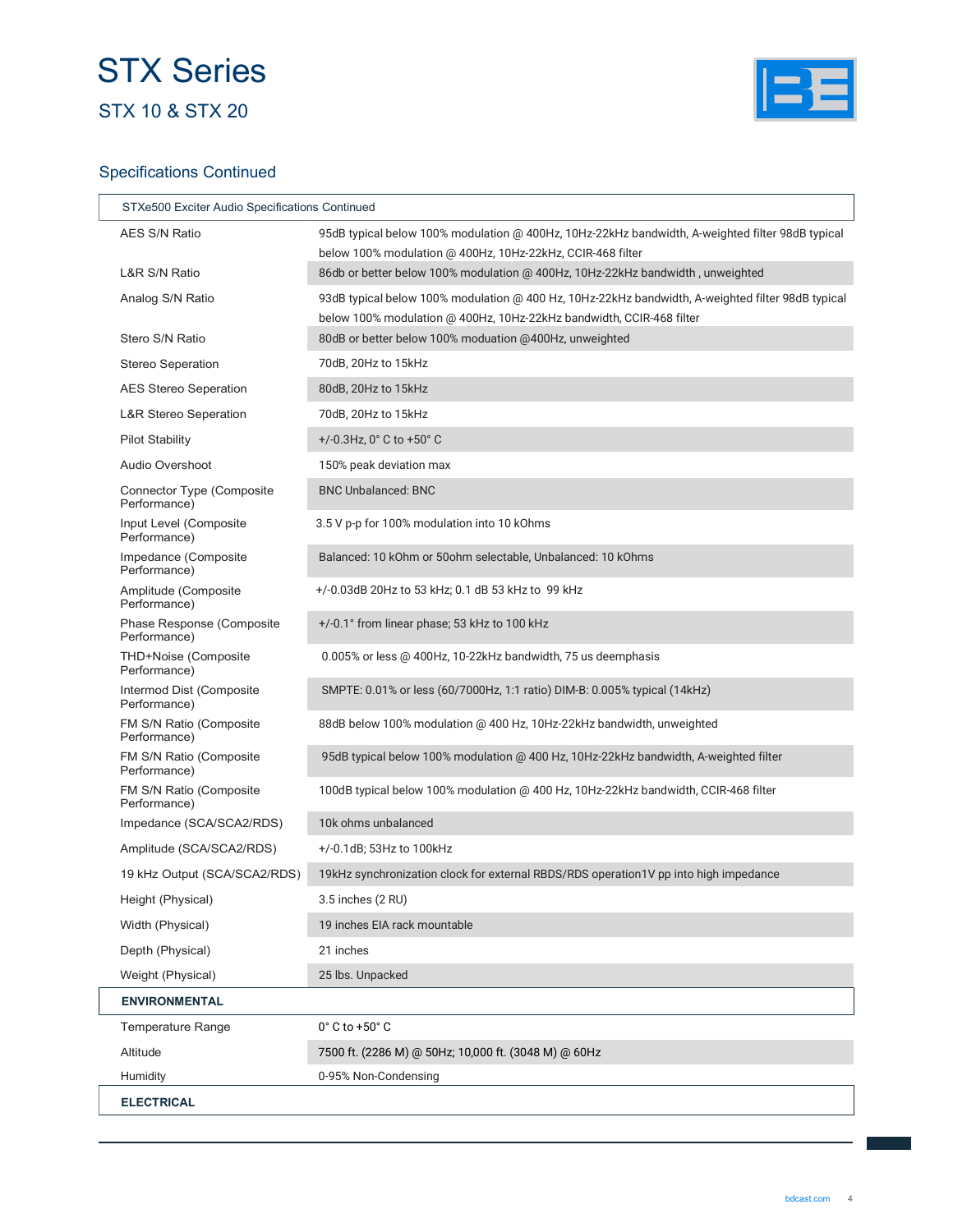## STX Series STX 10 & STX 20



### Specifications Continued

| STXe500 Exciter Audio Specifications Continued |                                                                                                                                                                           |  |  |  |
|------------------------------------------------|---------------------------------------------------------------------------------------------------------------------------------------------------------------------------|--|--|--|
| AES S/N Ratio                                  | 95dB typical below 100% modulation @ 400Hz, 10Hz-22kHz bandwidth, A-weighted filter 98dB typical<br>below 100% modulation @ 400Hz, 10Hz-22kHz, CCIR-468 filter            |  |  |  |
| L&R S/N Ratio                                  | 86db or better below 100% modulation @ 400Hz, 10Hz-22kHz bandwidth, unweighted                                                                                            |  |  |  |
| Analog S/N Ratio                               | 93dB typical below 100% modulation @ 400 Hz, 10Hz-22kHz bandwidth, A-weighted filter 98dB typical<br>below 100% modulation @ 400Hz, 10Hz-22kHz bandwidth, CCIR-468 filter |  |  |  |
| Stero S/N Ratio                                | 80dB or better below 100% moduation @400Hz, unweighted                                                                                                                    |  |  |  |
| <b>Stereo Seperation</b>                       | 70dB, 20Hz to 15kHz                                                                                                                                                       |  |  |  |
| <b>AES Stereo Seperation</b>                   | 80dB, 20Hz to 15kHz                                                                                                                                                       |  |  |  |
| <b>L&amp;R Stereo Seperation</b>               | 70dB, 20Hz to 15kHz                                                                                                                                                       |  |  |  |
| <b>Pilot Stability</b>                         | +/-0.3Hz, 0° C to +50° C                                                                                                                                                  |  |  |  |
| Audio Overshoot                                | 150% peak deviation max                                                                                                                                                   |  |  |  |
| Connector Type (Composite<br>Performance)      | <b>BNC Unbalanced: BNC</b>                                                                                                                                                |  |  |  |
| Input Level (Composite<br>Performance)         | 3.5 V p-p for 100% modulation into 10 kOhms                                                                                                                               |  |  |  |
| Impedance (Composite<br>Performance)           | Balanced: 10 kOhm or 50ohm selectable, Unbalanced: 10 kOhms                                                                                                               |  |  |  |
| Amplitude (Composite<br>Performance)           | +/-0.03dB 20Hz to 53 kHz; 0.1 dB 53 kHz to 99 kHz                                                                                                                         |  |  |  |
| Phase Response (Composite<br>Performance)      | +/-0.1° from linear phase; 53 kHz to 100 kHz                                                                                                                              |  |  |  |
| THD+Noise (Composite<br>Performance)           | 0.005% or less @ 400Hz, 10-22kHz bandwidth, 75 us deemphasis                                                                                                              |  |  |  |
| Intermod Dist (Composite<br>Performance)       | SMPTE: 0.01% or less (60/7000Hz, 1:1 ratio) DIM-B: 0.005% typical (14kHz)                                                                                                 |  |  |  |
| FM S/N Ratio (Composite<br>Performance)        | 88dB below 100% modulation @ 400 Hz, 10Hz-22kHz bandwidth, unweighted                                                                                                     |  |  |  |
| FM S/N Ratio (Composite<br>Performance)        | 95dB typical below 100% modulation @ 400 Hz, 10Hz-22kHz bandwidth, A-weighted filter                                                                                      |  |  |  |
| FM S/N Ratio (Composite<br>Performance)        | 100dB typical below 100% modulation @ 400 Hz, 10Hz-22kHz bandwidth, CCIR-468 filter                                                                                       |  |  |  |
| Impedance (SCA/SCA2/RDS)                       | 10k ohms unbalanced                                                                                                                                                       |  |  |  |
| Amplitude (SCA/SCA2/RDS)                       | +/-0.1dB; 53Hz to 100kHz                                                                                                                                                  |  |  |  |
| 19 kHz Output (SCA/SCA2/RDS)                   | 19kHz synchronization clock for external RBDS/RDS operation1V pp into high impedance                                                                                      |  |  |  |
| Height (Physical)                              | 3.5 inches (2 RU)                                                                                                                                                         |  |  |  |
| Width (Physical)                               | 19 inches EIA rack mountable                                                                                                                                              |  |  |  |
| Depth (Physical)                               | 21 inches                                                                                                                                                                 |  |  |  |
| Weight (Physical)                              | 25 lbs. Unpacked                                                                                                                                                          |  |  |  |
| <b>ENVIRONMENTAL</b>                           |                                                                                                                                                                           |  |  |  |
| <b>Temperature Range</b>                       | $0^\circ$ C to +50 $^\circ$ C                                                                                                                                             |  |  |  |
| Altitude                                       | 7500 ft. (2286 M) @ 50Hz; 10,000 ft. (3048 M) @ 60Hz                                                                                                                      |  |  |  |
| Humidity                                       | 0-95% Non-Condensing                                                                                                                                                      |  |  |  |
| <b>ELECTRICAL</b>                              |                                                                                                                                                                           |  |  |  |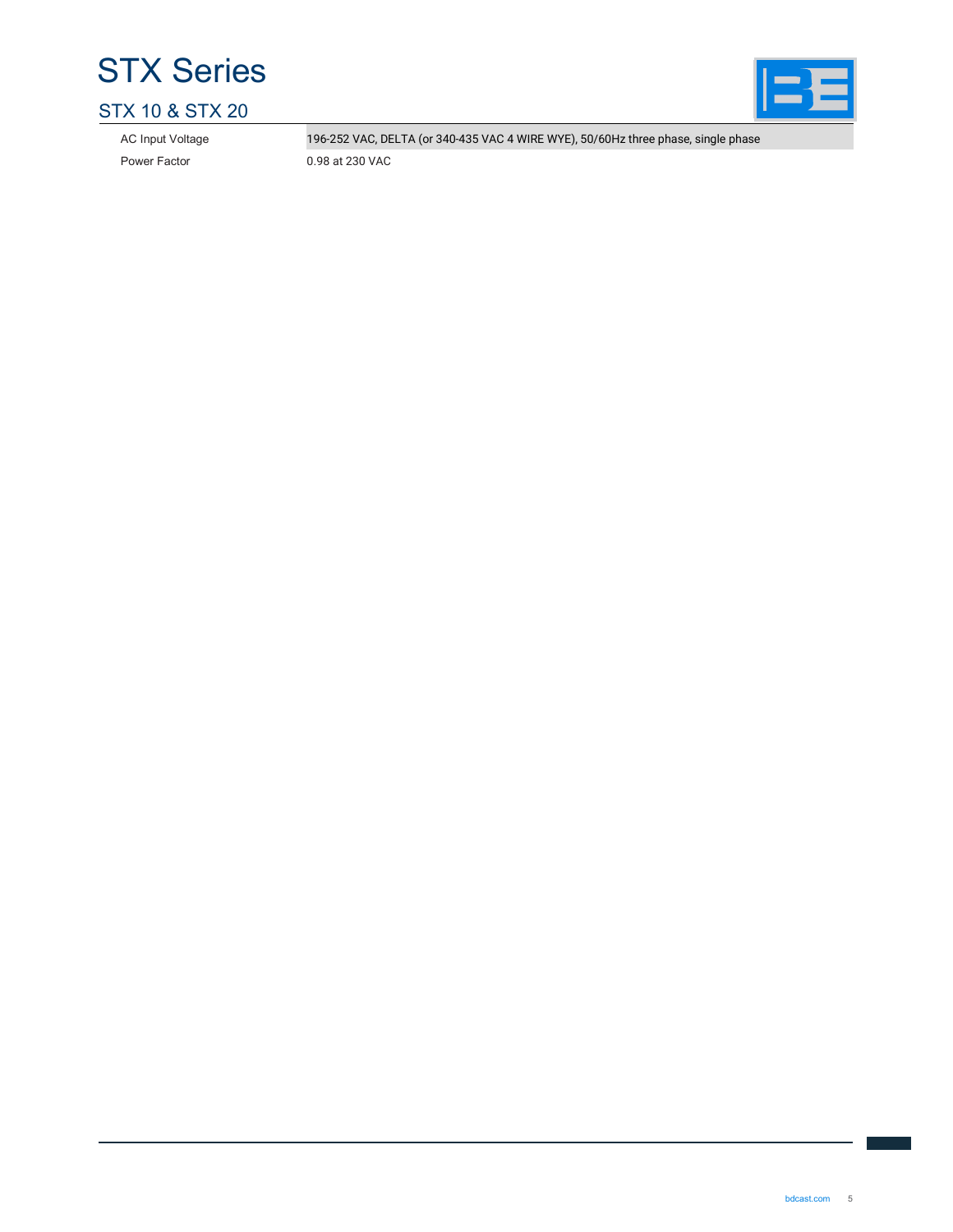

### STX 10 & STX 20

Power Factor 0.98 at 230 VAC

AC Input Voltage 196-252 VAC, DELTA (or 340-435 VAC 4 WIRE WYE), 50/60Hz three phase, single phase

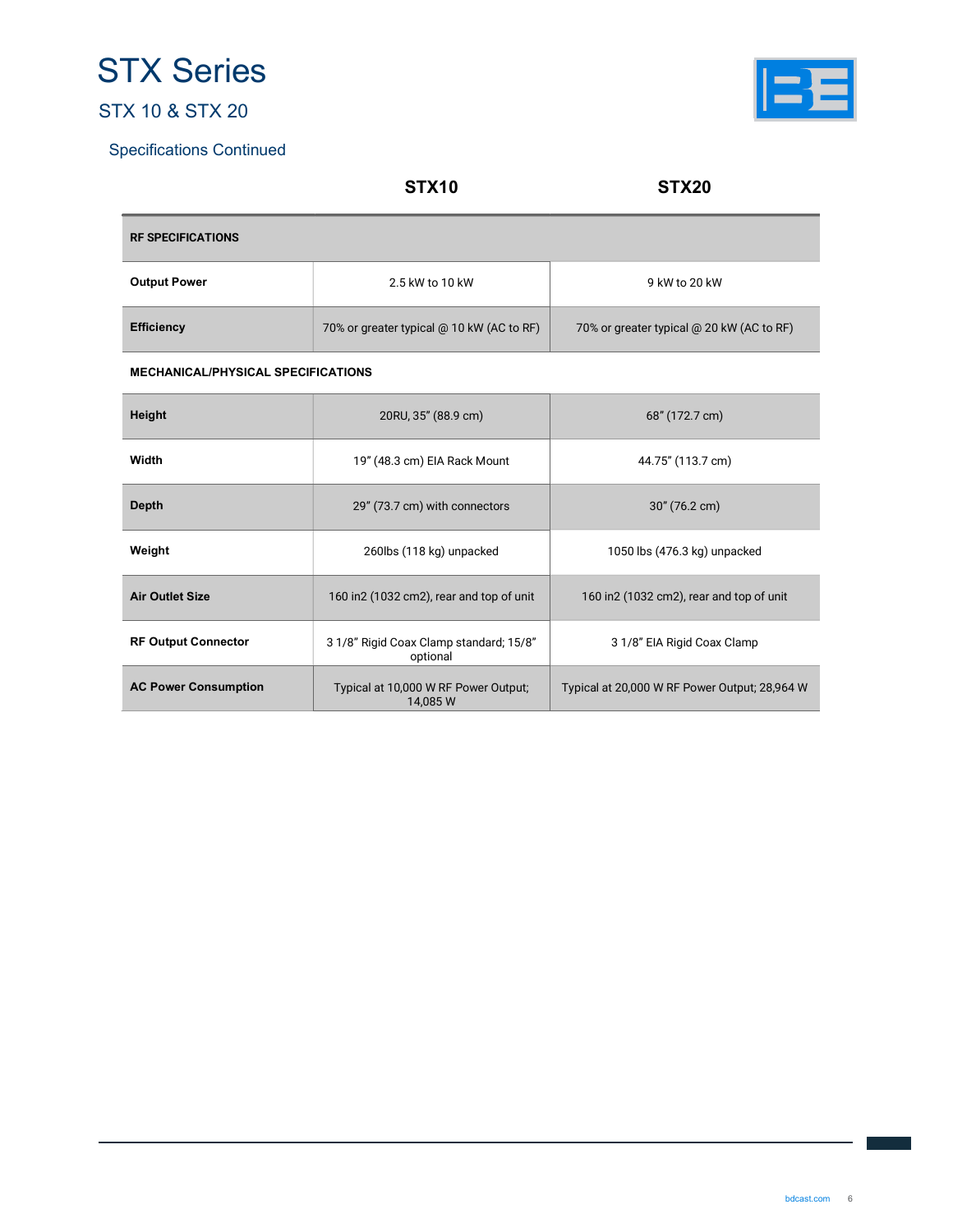## STX Series

### STX 10 & STX 20



#### Specifications Continued

|                          | <b>STX10</b>                              | <b>STX20</b>                              |
|--------------------------|-------------------------------------------|-------------------------------------------|
| <b>RF SPECIFICATIONS</b> |                                           |                                           |
| <b>Output Power</b>      | 2.5 kW to 10 kW                           | 9 kW to 20 kW                             |
| <b>Efficiency</b>        | 70% or greater typical @ 10 kW (AC to RF) | 70% or greater typical @ 20 kW (AC to RF) |

#### MECHANICAL/PHYSICAL SPECIFICATIONS

| Height                      | 20RU, 35" (88.9 cm)                                | 68" (172.7 cm)                                |
|-----------------------------|----------------------------------------------------|-----------------------------------------------|
| Width                       | 19" (48.3 cm) EIA Rack Mount                       | 44.75" (113.7 cm)                             |
| <b>Depth</b>                | 29" (73.7 cm) with connectors                      | $30''(76.2 \text{ cm})$                       |
| Weight                      | 260lbs (118 kg) unpacked                           | 1050 lbs (476.3 kg) unpacked                  |
| <b>Air Outlet Size</b>      | 160 in2 (1032 cm2), rear and top of unit           | 160 in2 (1032 cm2), rear and top of unit      |
| <b>RF Output Connector</b>  | 31/8" Rigid Coax Clamp standard; 15/8"<br>optional | 31/8" EIA Rigid Coax Clamp                    |
| <b>AC Power Consumption</b> | Typical at 10,000 W RF Power Output;<br>14,085 W   | Typical at 20,000 W RF Power Output; 28,964 W |